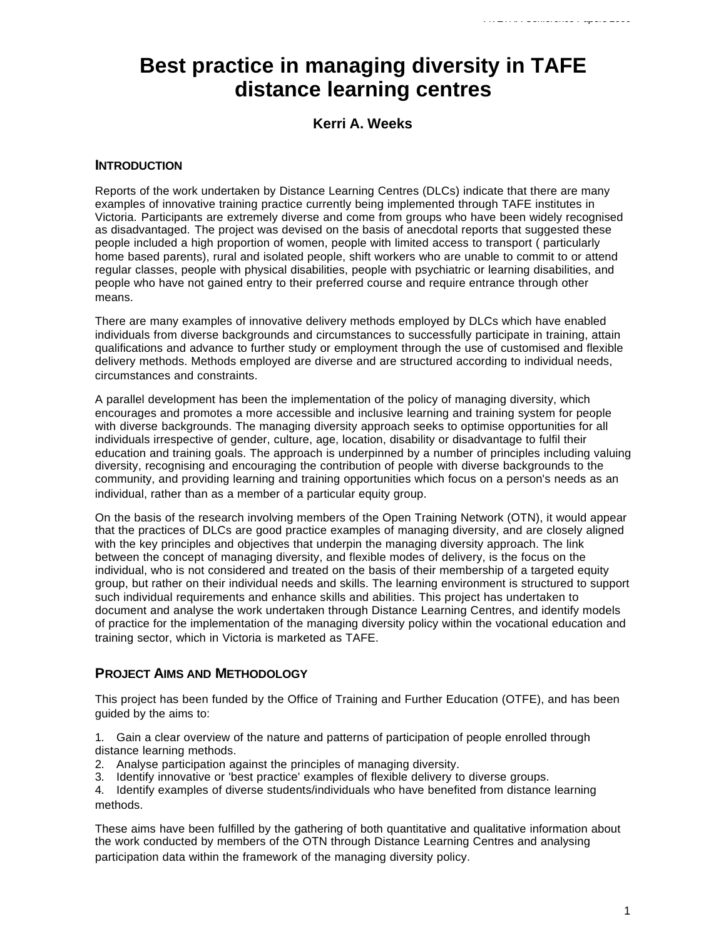# **Best practice in managing diversity in TAFE distance learning centres**

# **Kerri A. Weeks**

## **INTRODUCTION**

Reports of the work undertaken by Distance Learning Centres (DLCs) indicate that there are many examples of innovative training practice currently being implemented through TAFE institutes in Victoria. Participants are extremely diverse and come from groups who have been widely recognised as disadvantaged. The project was devised on the basis of anecdotal reports that suggested these people included a high proportion of women, people with limited access to transport ( particularly home based parents), rural and isolated people, shift workers who are unable to commit to or attend regular classes, people with physical disabilities, people with psychiatric or learning disabilities, and people who have not gained entry to their preferred course and require entrance through other means.

There are many examples of innovative delivery methods employed by DLCs which have enabled individuals from diverse backgrounds and circumstances to successfully participate in training, attain qualifications and advance to further study or employment through the use of customised and flexible delivery methods. Methods employed are diverse and are structured according to individual needs, circumstances and constraints.

A parallel development has been the implementation of the policy of managing diversity, which encourages and promotes a more accessible and inclusive learning and training system for people with diverse backgrounds. The managing diversity approach seeks to optimise opportunities for all individuals irrespective of gender, culture, age, location, disability or disadvantage to fulfil their education and training goals. The approach is underpinned by a number of principles including valuing diversity, recognising and encouraging the contribution of people with diverse backgrounds to the community, and providing learning and training opportunities which focus on a person's needs as an individual, rather than as a member of a particular equity group.

On the basis of the research involving members of the Open Training Network (OTN), it would appear that the practices of DLCs are good practice examples of managing diversity, and are closely aligned with the key principles and objectives that underpin the managing diversity approach. The link between the concept of managing diversity, and flexible modes of delivery, is the focus on the individual, who is not considered and treated on the basis of their membership of a targeted equity group, but rather on their individual needs and skills. The learning environment is structured to support such individual requirements and enhance skills and abilities. This project has undertaken to document and analyse the work undertaken through Distance Learning Centres, and identify models of practice for the implementation of the managing diversity policy within the vocational education and training sector, which in Victoria is marketed as TAFE.

## **PROJECT AIMS AND METHODOLOGY**

This project has been funded by the Office of Training and Further Education (OTFE), and has been guided by the aims to:

1. Gain a clear overview of the nature and patterns of participation of people enrolled through distance learning methods.

- 2. Analyse participation against the principles of managing diversity.
- 3. Identify innovative or 'best practice' examples of flexible delivery to diverse groups.

4. Identify examples of diverse students/individuals who have benefited from distance learning methods.

These aims have been fulfilled by the gathering of both quantitative and qualitative information about the work conducted by members of the OTN through Distance Learning Centres and analysing participation data within the framework of the managing diversity policy.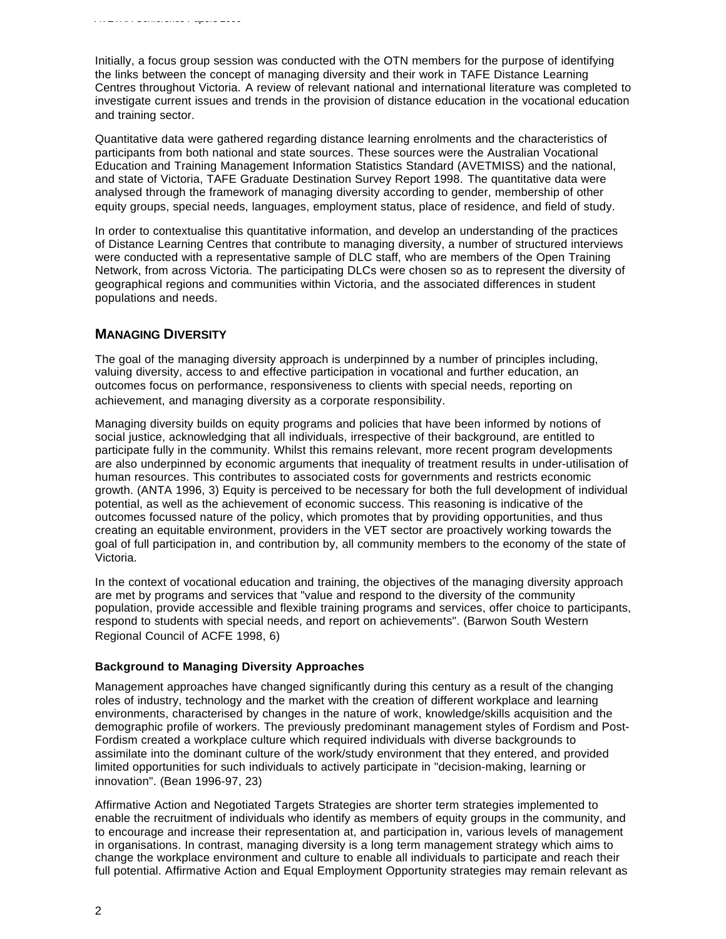Initially, a focus group session was conducted with the OTN members for the purpose of identifying the links between the concept of managing diversity and their work in TAFE Distance Learning Centres throughout Victoria. A review of relevant national and international literature was completed to investigate current issues and trends in the provision of distance education in the vocational education and training sector.

Quantitative data were gathered regarding distance learning enrolments and the characteristics of participants from both national and state sources. These sources were the Australian Vocational Education and Training Management Information Statistics Standard (AVETMISS) and the national, and state of Victoria, TAFE Graduate Destination Survey Report 1998. The quantitative data were analysed through the framework of managing diversity according to gender, membership of other equity groups, special needs, languages, employment status, place of residence, and field of study.

In order to contextualise this quantitative information, and develop an understanding of the practices of Distance Learning Centres that contribute to managing diversity, a number of structured interviews were conducted with a representative sample of DLC staff, who are members of the Open Training Network, from across Victoria. The participating DLCs were chosen so as to represent the diversity of geographical regions and communities within Victoria, and the associated differences in student populations and needs.

## **MANAGING DIVERSITY**

The goal of the managing diversity approach is underpinned by a number of principles including, valuing diversity, access to and effective participation in vocational and further education, an outcomes focus on performance, responsiveness to clients with special needs, reporting on achievement, and managing diversity as a corporate responsibility.

Managing diversity builds on equity programs and policies that have been informed by notions of social justice, acknowledging that all individuals, irrespective of their background, are entitled to participate fully in the community. Whilst this remains relevant, more recent program developments are also underpinned by economic arguments that inequality of treatment results in under-utilisation of human resources. This contributes to associated costs for governments and restricts economic growth. (ANTA 1996, 3) Equity is perceived to be necessary for both the full development of individual potential, as well as the achievement of economic success. This reasoning is indicative of the outcomes focussed nature of the policy, which promotes that by providing opportunities, and thus creating an equitable environment, providers in the VET sector are proactively working towards the goal of full participation in, and contribution by, all community members to the economy of the state of Victoria.

In the context of vocational education and training, the objectives of the managing diversity approach are met by programs and services that "value and respond to the diversity of the community population, provide accessible and flexible training programs and services, offer choice to participants, respond to students with special needs, and report on achievements". (Barwon South Western Regional Council of ACFE 1998, 6)

#### **Background to Managing Diversity Approaches**

Management approaches have changed significantly during this century as a result of the changing roles of industry, technology and the market with the creation of different workplace and learning environments, characterised by changes in the nature of work, knowledge/skills acquisition and the demographic profile of workers. The previously predominant management styles of Fordism and Post-Fordism created a workplace culture which required individuals with diverse backgrounds to assimilate into the dominant culture of the work/study environment that they entered, and provided limited opportunities for such individuals to actively participate in "decision-making, learning or innovation". (Bean 1996-97, 23)

Affirmative Action and Negotiated Targets Strategies are shorter term strategies implemented to enable the recruitment of individuals who identify as members of equity groups in the community, and to encourage and increase their representation at, and participation in, various levels of management in organisations. In contrast, managing diversity is a long term management strategy which aims to change the workplace environment and culture to enable all individuals to participate and reach their full potential. Affirmative Action and Equal Employment Opportunity strategies may remain relevant as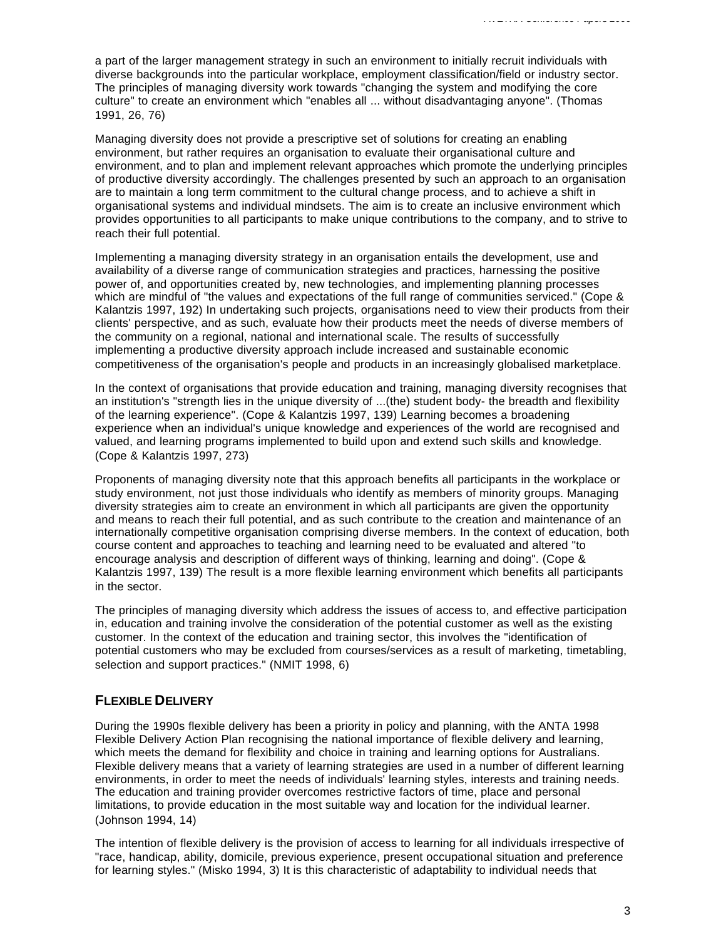a part of the larger management strategy in such an environment to initially recruit individuals with diverse backgrounds into the particular workplace, employment classification/field or industry sector. The principles of managing diversity work towards "changing the system and modifying the core culture" to create an environment which "enables all ... without disadvantaging anyone". (Thomas 1991, 26, 76)

Managing diversity does not provide a prescriptive set of solutions for creating an enabling environment, but rather requires an organisation to evaluate their organisational culture and environment, and to plan and implement relevant approaches which promote the underlying principles of productive diversity accordingly. The challenges presented by such an approach to an organisation are to maintain a long term commitment to the cultural change process, and to achieve a shift in organisational systems and individual mindsets. The aim is to create an inclusive environment which provides opportunities to all participants to make unique contributions to the company, and to strive to reach their full potential.

Implementing a managing diversity strategy in an organisation entails the development, use and availability of a diverse range of communication strategies and practices, harnessing the positive power of, and opportunities created by, new technologies, and implementing planning processes which are mindful of "the values and expectations of the full range of communities serviced." (Cope & Kalantzis 1997, 192) In undertaking such projects, organisations need to view their products from their clients' perspective, and as such, evaluate how their products meet the needs of diverse members of the community on a regional, national and international scale. The results of successfully implementing a productive diversity approach include increased and sustainable economic competitiveness of the organisation's people and products in an increasingly globalised marketplace.

In the context of organisations that provide education and training, managing diversity recognises that an institution's "strength lies in the unique diversity of ...(the) student body- the breadth and flexibility of the learning experience". (Cope & Kalantzis 1997, 139) Learning becomes a broadening experience when an individual's unique knowledge and experiences of the world are recognised and valued, and learning programs implemented to build upon and extend such skills and knowledge. (Cope & Kalantzis 1997, 273)

Proponents of managing diversity note that this approach benefits all participants in the workplace or study environment, not just those individuals who identify as members of minority groups. Managing diversity strategies aim to create an environment in which all participants are given the opportunity and means to reach their full potential, and as such contribute to the creation and maintenance of an internationally competitive organisation comprising diverse members. In the context of education, both course content and approaches to teaching and learning need to be evaluated and altered "to encourage analysis and description of different ways of thinking, learning and doing". (Cope & Kalantzis 1997, 139) The result is a more flexible learning environment which benefits all participants in the sector.

The principles of managing diversity which address the issues of access to, and effective participation in, education and training involve the consideration of the potential customer as well as the existing customer. In the context of the education and training sector, this involves the "identification of potential customers who may be excluded from courses/services as a result of marketing, timetabling, selection and support practices." (NMIT 1998, 6)

## **FLEXIBLE DELIVERY**

During the 1990s flexible delivery has been a priority in policy and planning, with the ANTA 1998 Flexible Delivery Action Plan recognising the national importance of flexible delivery and learning, which meets the demand for flexibility and choice in training and learning options for Australians. Flexible delivery means that a variety of learning strategies are used in a number of different learning environments, in order to meet the needs of individuals' learning styles, interests and training needs. The education and training provider overcomes restrictive factors of time, place and personal limitations, to provide education in the most suitable way and location for the individual learner. (Johnson 1994, 14)

The intention of flexible delivery is the provision of access to learning for all individuals irrespective of "race, handicap, ability, domicile, previous experience, present occupational situation and preference for learning styles." (Misko 1994, 3) It is this characteristic of adaptability to individual needs that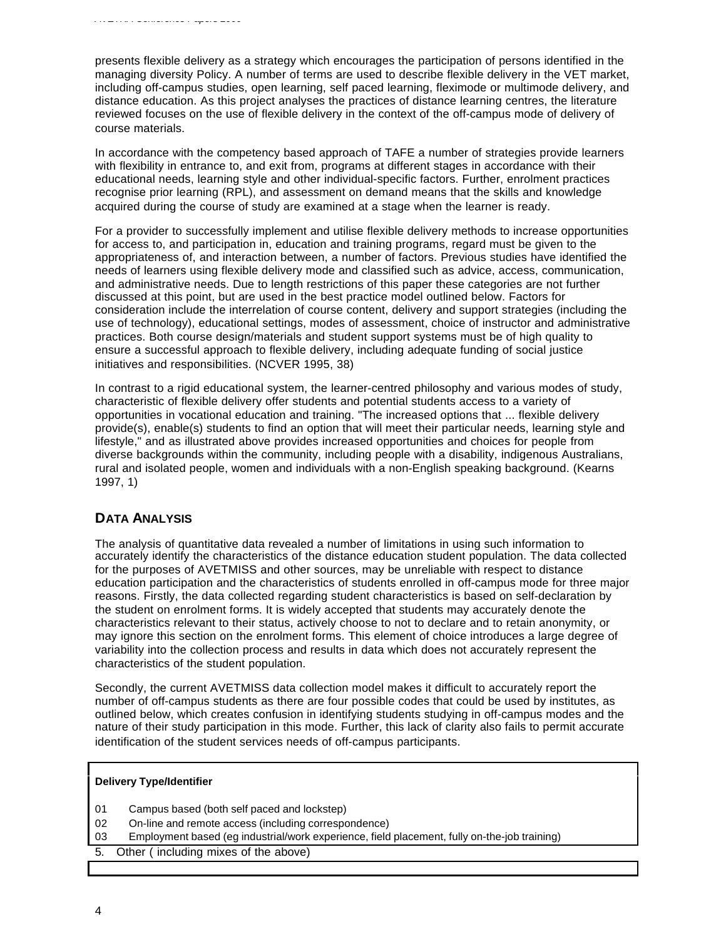presents flexible delivery as a strategy which encourages the participation of persons identified in the managing diversity Policy. A number of terms are used to describe flexible delivery in the VET market, including off-campus studies, open learning, self paced learning, fleximode or multimode delivery, and distance education. As this project analyses the practices of distance learning centres, the literature reviewed focuses on the use of flexible delivery in the context of the off-campus mode of delivery of course materials.

In accordance with the competency based approach of TAFE a number of strategies provide learners with flexibility in entrance to, and exit from, programs at different stages in accordance with their educational needs, learning style and other individual-specific factors. Further, enrolment practices recognise prior learning (RPL), and assessment on demand means that the skills and knowledge acquired during the course of study are examined at a stage when the learner is ready.

For a provider to successfully implement and utilise flexible delivery methods to increase opportunities for access to, and participation in, education and training programs, regard must be given to the appropriateness of, and interaction between, a number of factors. Previous studies have identified the needs of learners using flexible delivery mode and classified such as advice, access, communication, and administrative needs. Due to length restrictions of this paper these categories are not further discussed at this point, but are used in the best practice model outlined below. Factors for consideration include the interrelation of course content, delivery and support strategies (including the use of technology), educational settings, modes of assessment, choice of instructor and administrative practices. Both course design/materials and student support systems must be of high quality to ensure a successful approach to flexible delivery, including adequate funding of social justice initiatives and responsibilities. (NCVER 1995, 38)

In contrast to a rigid educational system, the learner-centred philosophy and various modes of study, characteristic of flexible delivery offer students and potential students access to a variety of opportunities in vocational education and training. "The increased options that ... flexible delivery provide(s), enable(s) students to find an option that will meet their particular needs, learning style and lifestyle," and as illustrated above provides increased opportunities and choices for people from diverse backgrounds within the community, including people with a disability, indigenous Australians, rural and isolated people, women and individuals with a non-English speaking background. (Kearns 1997, 1)

## **DATA ANALYSIS**

The analysis of quantitative data revealed a number of limitations in using such information to accurately identify the characteristics of the distance education student population. The data collected for the purposes of AVETMISS and other sources, may be unreliable with respect to distance education participation and the characteristics of students enrolled in off-campus mode for three major reasons. Firstly, the data collected regarding student characteristics is based on self-declaration by the student on enrolment forms. It is widely accepted that students may accurately denote the characteristics relevant to their status, actively choose to not to declare and to retain anonymity, or may ignore this section on the enrolment forms. This element of choice introduces a large degree of variability into the collection process and results in data which does not accurately represent the characteristics of the student population.

Secondly, the current AVETMISS data collection model makes it difficult to accurately report the number of off-campus students as there are four possible codes that could be used by institutes, as outlined below, which creates confusion in identifying students studying in off-campus modes and the nature of their study participation in this mode. Further, this lack of clarity also fails to permit accurate identification of the student services needs of off-campus participants.

#### **Delivery Type/Identifier**

- 01 Campus based (both self paced and lockstep)
- 02 On-line and remote access (including correspondence)
- 03 Employment based (eg industrial/work experience, field placement, fully on-the-job training)

5. Other ( including mixes of the above)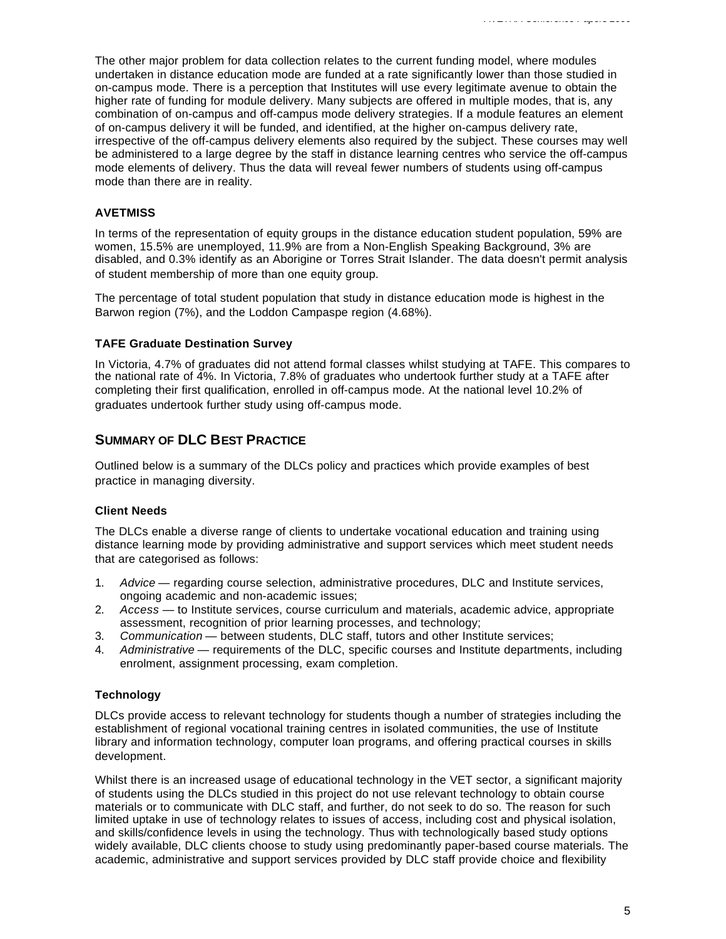The other major problem for data collection relates to the current funding model, where modules undertaken in distance education mode are funded at a rate significantly lower than those studied in on-campus mode. There is a perception that Institutes will use every legitimate avenue to obtain the higher rate of funding for module delivery. Many subjects are offered in multiple modes, that is, any combination of on-campus and off-campus mode delivery strategies. If a module features an element of on-campus delivery it will be funded, and identified, at the higher on-campus delivery rate, irrespective of the off-campus delivery elements also required by the subject. These courses may well be administered to a large degree by the staff in distance learning centres who service the off-campus mode elements of delivery. Thus the data will reveal fewer numbers of students using off-campus mode than there are in reality.

#### **AVETMISS**

In terms of the representation of equity groups in the distance education student population, 59% are women, 15.5% are unemployed, 11.9% are from a Non-English Speaking Background, 3% are disabled, and 0.3% identify as an Aborigine or Torres Strait Islander. The data doesn't permit analysis of student membership of more than one equity group.

The percentage of total student population that study in distance education mode is highest in the Barwon region (7%), and the Loddon Campaspe region (4.68%).

#### **TAFE Graduate Destination Survey**

In Victoria, 4.7% of graduates did not attend formal classes whilst studying at TAFE. This compares to the national rate of 4%. In Victoria, 7.8% of graduates who undertook further study at a TAFE after completing their first qualification, enrolled in off-campus mode. At the national level 10.2% of graduates undertook further study using off-campus mode.

## **SUMMARY OF DLC BEST PRACTICE**

Outlined below is a summary of the DLCs policy and practices which provide examples of best practice in managing diversity.

#### **Client Needs**

The DLCs enable a diverse range of clients to undertake vocational education and training using distance learning mode by providing administrative and support services which meet student needs that are categorised as follows:

- 1. *Advice* regarding course selection, administrative procedures, DLC and Institute services, ongoing academic and non-academic issues;
- 2. *Access* to Institute services, course curriculum and materials, academic advice, appropriate assessment, recognition of prior learning processes, and technology;
- 3. *Communication* between students, DLC staff, tutors and other Institute services;
- 4. *Administrative* requirements of the DLC, specific courses and Institute departments, including enrolment, assignment processing, exam completion.

#### **Technology**

DLCs provide access to relevant technology for students though a number of strategies including the establishment of regional vocational training centres in isolated communities, the use of Institute library and information technology, computer loan programs, and offering practical courses in skills development.

Whilst there is an increased usage of educational technology in the VET sector, a significant majority of students using the DLCs studied in this project do not use relevant technology to obtain course materials or to communicate with DLC staff, and further, do not seek to do so. The reason for such limited uptake in use of technology relates to issues of access, including cost and physical isolation, and skills/confidence levels in using the technology. Thus with technologically based study options widely available, DLC clients choose to study using predominantly paper-based course materials. The academic, administrative and support services provided by DLC staff provide choice and flexibility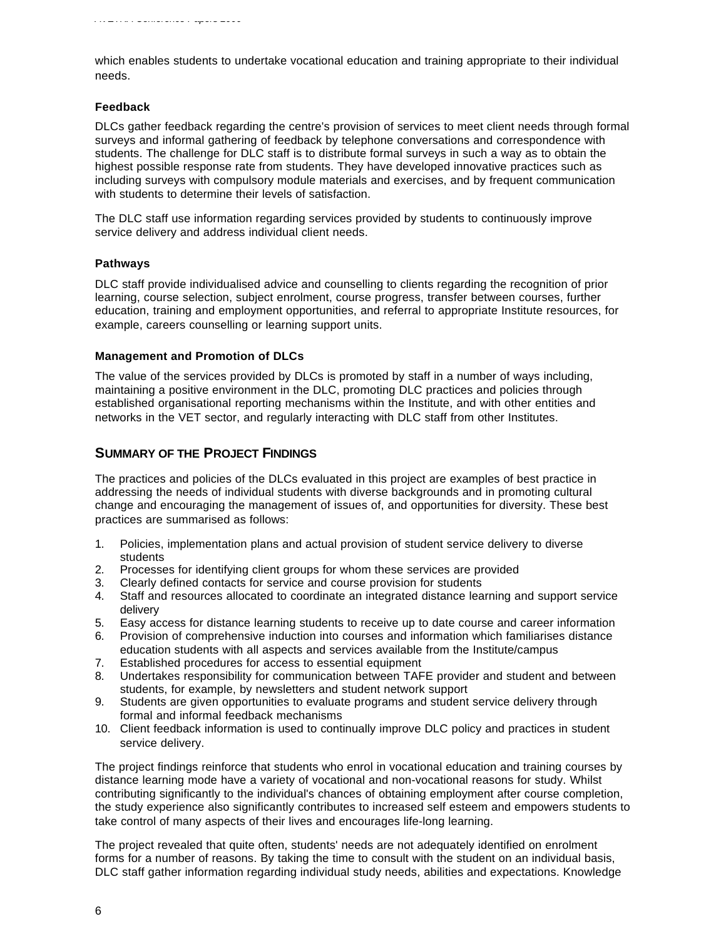which enables students to undertake vocational education and training appropriate to their individual needs.

#### **Feedback**

DLCs gather feedback regarding the centre's provision of services to meet client needs through formal surveys and informal gathering of feedback by telephone conversations and correspondence with students. The challenge for DLC staff is to distribute formal surveys in such a way as to obtain the highest possible response rate from students. They have developed innovative practices such as including surveys with compulsory module materials and exercises, and by frequent communication with students to determine their levels of satisfaction.

The DLC staff use information regarding services provided by students to continuously improve service delivery and address individual client needs.

#### **Pathways**

DLC staff provide individualised advice and counselling to clients regarding the recognition of prior learning, course selection, subject enrolment, course progress, transfer between courses, further education, training and employment opportunities, and referral to appropriate Institute resources, for example, careers counselling or learning support units.

#### **Management and Promotion of DLCs**

The value of the services provided by DLCs is promoted by staff in a number of ways including, maintaining a positive environment in the DLC, promoting DLC practices and policies through established organisational reporting mechanisms within the Institute, and with other entities and networks in the VET sector, and regularly interacting with DLC staff from other Institutes.

### **SUMMARY OF THE PROJECT FINDINGS**

The practices and policies of the DLCs evaluated in this project are examples of best practice in addressing the needs of individual students with diverse backgrounds and in promoting cultural change and encouraging the management of issues of, and opportunities for diversity. These best practices are summarised as follows:

- 1. Policies, implementation plans and actual provision of student service delivery to diverse students
- 2. Processes for identifying client groups for whom these services are provided
- 3. Clearly defined contacts for service and course provision for students
- 4. Staff and resources allocated to coordinate an integrated distance learning and support service delivery
- 5. Easy access for distance learning students to receive up to date course and career information
- 6. Provision of comprehensive induction into courses and information which familiarises distance education students with all aspects and services available from the Institute/campus
- 7. Established procedures for access to essential equipment
- 8. Undertakes responsibility for communication between TAFE provider and student and between students, for example, by newsletters and student network support
- 9. Students are given opportunities to evaluate programs and student service delivery through formal and informal feedback mechanisms
- 10. Client feedback information is used to continually improve DLC policy and practices in student service delivery.

The project findings reinforce that students who enrol in vocational education and training courses by distance learning mode have a variety of vocational and non-vocational reasons for study. Whilst contributing significantly to the individual's chances of obtaining employment after course completion, the study experience also significantly contributes to increased self esteem and empowers students to take control of many aspects of their lives and encourages life-long learning.

The project revealed that quite often, students' needs are not adequately identified on enrolment forms for a number of reasons. By taking the time to consult with the student on an individual basis, DLC staff gather information regarding individual study needs, abilities and expectations. Knowledge